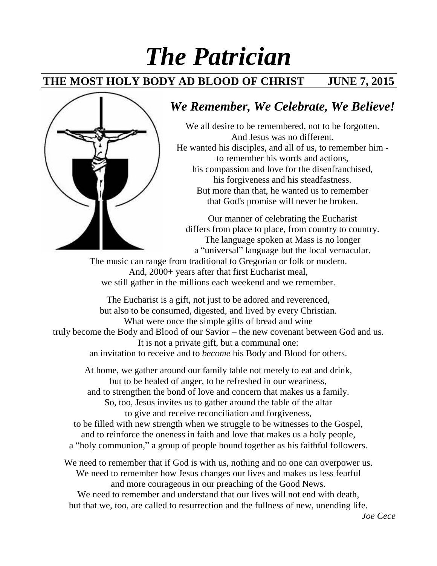# *The Patrician*

#### **THE MOST HOLY BODY AD BLOOD OF CHRIST JUNE 7, 2015**



### *We Remember, We Celebrate, We Believe!*

We all desire to be remembered, not to be forgotten. And Jesus was no different. He wanted his disciples, and all of us, to remember him to remember his words and actions, his compassion and love for the disenfranchised, his forgiveness and his steadfastness. But more than that, he wanted us to remember that God's promise will never be broken.

Our manner of celebrating the Eucharist differs from place to place, from country to country. The language spoken at Mass is no longer a "universal" language but the local vernacular.

The music can range from traditional to Gregorian or folk or modern. And, 2000+ years after that first Eucharist meal, we still gather in the millions each weekend and we remember.

The Eucharist is a gift, not just to be adored and reverenced, but also to be consumed, digested, and lived by every Christian. What were once the simple gifts of bread and wine truly become the Body and Blood of our Savior – the new covenant between God and us. It is not a private gift, but a communal one: an invitation to receive and to *become* his Body and Blood for others.

At home, we gather around our family table not merely to eat and drink, but to be healed of anger, to be refreshed in our weariness, and to strengthen the bond of love and concern that makes us a family.

So, too, Jesus invites us to gather around the table of the altar to give and receive reconciliation and forgiveness,

to be filled with new strength when we struggle to be witnesses to the Gospel, and to reinforce the oneness in faith and love that makes us a holy people, a "holy communion," a group of people bound together as his faithful followers.

We need to remember that if God is with us, nothing and no one can overpower us. We need to remember how Jesus changes our lives and makes us less fearful and more courageous in our preaching of the Good News.

We need to remember and understand that our lives will not end with death, but that we, too, are called to resurrection and the fullness of new, unending life.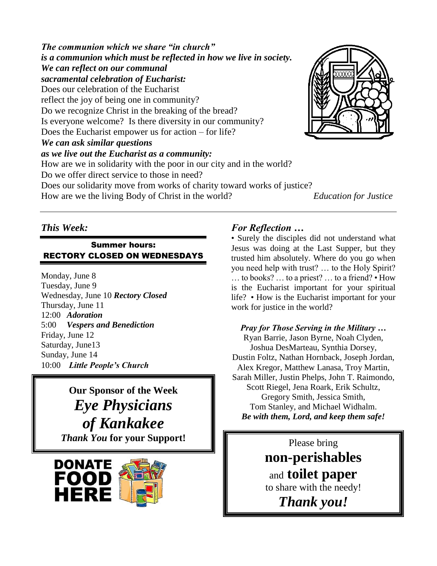*The communion which we share "in church" is a communion which must be reflected in how we live in society. We can reflect on our communal sacramental celebration of Eucharist:* Does our celebration of the Eucharist reflect the joy of being one in community? Do we recognize Christ in the breaking of the bread? Is everyone welcome? Is there diversity in our community? Does the Eucharist empower us for action – for life? *We can ask similar questions as we live out the Eucharist as a community:* How are we in solidarity with the poor in our city and in the world? Do we offer direct service to those in need? Does our solidarity move from works of charity toward works of justice? How are we the living Body of Christ in the world? *Education for Justice*



#### *This Week:*

#### Summer hours: RECTORY CLOSED ON WEDNESDAYS

Monday, June 8 Tuesday, June 9 Wednesday, June 10 *Rectory Closed* Thursday, June 11 12:00 *Adoration* 5:00 *Vespers and Benediction* Friday, June 12 Saturday, June13 Sunday, June 14 10:00 *Little People's Church*

> **Our Sponsor of the Week**  *Eye Physicians of Kankakee Thank You* **for your Support!**



#### *For Reflection …*

• Surely the disciples did not understand what Jesus was doing at the Last Supper, but they trusted him absolutely. Where do you go when you need help with trust? … to the Holy Spirit? … to books? … to a priest? … to a friend? • How is the Eucharist important for your spiritual life? • How is the Eucharist important for your work for justice in the world?

*Pray for Those Serving in the Military …*  Ryan Barrie, Jason Byrne, Noah Clyden, Joshua DesMarteau, Synthia Dorsey, Dustin Foltz, Nathan Hornback, Joseph Jordan, Alex Kregor, Matthew Lanasa, Troy Martin, Sarah Miller, Justin Phelps, John T. Raimondo, Scott Riegel, Jena Roark, Erik Schultz, Gregory Smith, Jessica Smith, Tom Stanley, and Michael Widhalm. *Be with them, Lord, and keep them safe!*

> Please bring **non-perishables** and **toilet paper** to share with the needy! *Thank you!*

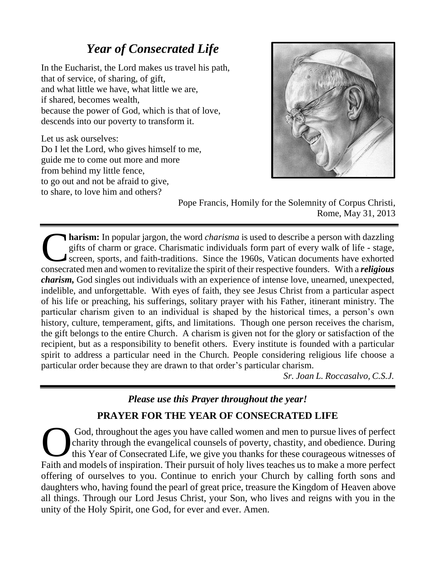### *Year of Consecrated Life*

In the Eucharist, the Lord makes us travel his path, that of service, of sharing, of gift, and what little we have, what little we are, if shared, becomes wealth, because the power of God, which is that of love, descends into our poverty to transform it.

Let us ask ourselves: Do I let the Lord, who gives himself to me, guide me to come out more and more from behind my little fence, to go out and not be afraid to give, to share, to love him and others?



Pope Francis, Homily for the Solemnity of Corpus Christi, Rome, May 31, 2013

**harism:** In popular jargon, the word *charisma* is used to describe a person with dazzling gifts of charm or grace. Charismatic individuals form part of every walk of life - stage, screen, sports, and faith-traditions. Since the 1960s, Vatican documents have exhorted **Consecrated men and women to revitalize the spirit of their respective founders.** With a *religious* consecrated men and women to revitalize the spirit of their respective founders. With a *religious charism,* God singles out individuals with an experience of intense love, unearned, unexpected, indelible, and unforgettable. With eyes of faith, they see Jesus Christ from a particular aspect of his life or preaching, his sufferings, solitary prayer with his Father, itinerant ministry. The particular charism given to an individual is shaped by the historical times, a person's own history, culture, temperament, gifts, and limitations. Though one person receives the charism, the gift belongs to the entire Church. A charism is given not for the glory or satisfaction of the recipient, but as a responsibility to benefit others. Every institute is founded with a particular spirit to address a particular need in the Church. People considering religious life choose a particular order because they are drawn to that order's particular charism.

*Sr. Joan L. Roccasalvo, C.S.J.*

#### *Please use this Prayer throughout the year!*

#### **PRAYER FOR THE YEAR OF CONSECRATED LIFE**

God, throughout the ages you have called women and men to pursue lives of perfect charity through the evangelical counsels of poverty, chastity, and obedience. During this Year of Consecrated Life, we give you thanks for these courageous witnesses of God, throughout the ages you have called women and men to pursue lives of perfect charity through the evangelical counsels of poverty, chastity, and obedience. During this Year of Consecrated Life, we give you thanks for t offering of ourselves to you. Continue to enrich your Church by calling forth sons and daughters who, having found the pearl of great price, treasure the Kingdom of Heaven above all things. Through our Lord Jesus Christ, your Son, who lives and reigns with you in the unity of the Holy Spirit, one God, for ever and ever. Amen.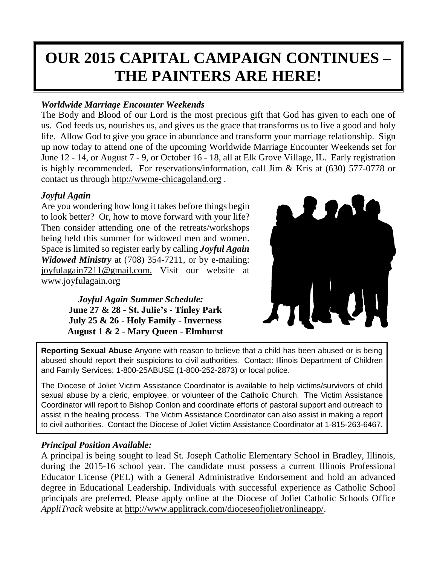## **OUR 2015 CAPITAL CAMPAIGN CONTINUES – THE PAINTERS ARE HERE!**

#### *Worldwide Marriage Encounter Weekends*

The Body and Blood of our Lord is the most precious gift that God has given to each one of us. God feeds us, nourishes us, and gives us the grace that transforms us to live a good and holy life. Allow God to give you grace in abundance and transform your marriage relationship. Sign up now today to attend one of the upcoming Worldwide Marriage Encounter Weekends set for June 12 - 14, or August 7 - 9, or October 16 - 18, all at Elk Grove Village, IL. Early registration is highly recommended**.** For reservations/information, call Jim & Kris at (630) 577-0778 or contact us through [http://wwme-chicagoland.org](http://wwme-chicagoland.org/) .

#### *Joyful Again*

Are you wondering how long it takes before things begin to look better? Or, how to move forward with your life? Then consider attending one of the retreats/workshops being held this summer for widowed men and women. Space is limited so register early by calling *Joyful Again Widowed Ministry* at (708) 354-7211, or by e-mailing: [joyfulagain7211@g](mailto:joyfulagain7211@)mail.com. Visit our website at [www.joyfulagain.org](http://www.joyfulagain.org/)

> *Joyful Again Summer Schedule:* **June 27 & 28 - St. Julie's - Tinley Park July 25 & 26 - Holy Family - Inverness August 1 & 2 - Mary Queen - Elmhurst**



**Reporting Sexual Abuse** Anyone with reason to believe that a child has been abused or is being abused should report their suspicions to civil authorities. Contact: Illinois Department of Children and Family Services: 1-800-25ABUSE (1-800-252-2873) or local police.

The Diocese of Joliet Victim Assistance Coordinator is available to help victims/survivors of child sexual abuse by a cleric, employee, or volunteer of the Catholic Church. The Victim Assistance Coordinator will report to Bishop Conlon and coordinate efforts of pastoral support and outreach to assist in the healing process. The Victim Assistance Coordinator can also assist in making a report to civil authorities. Contact the Diocese of Joliet Victim Assistance Coordinator at 1-815-263-6467.

#### *Principal Position Available:*

A principal is being sought to lead St. Joseph Catholic Elementary School in Bradley, Illinois, during the 2015-16 school year. The candidate must possess a current Illinois Professional Educator License (PEL) with a General Administrative Endorsement and hold an advanced degree in Educational Leadership. Individuals with successful experience as Catholic School principals are preferred. Please apply online at the Diocese of Joliet Catholic Schools Office *AppliTrack* website at [http://www.applitrack.com/dioceseofjoliet/onlineapp/.](http://www.applitrack.com/dioceseofjoliet/onlineapp/)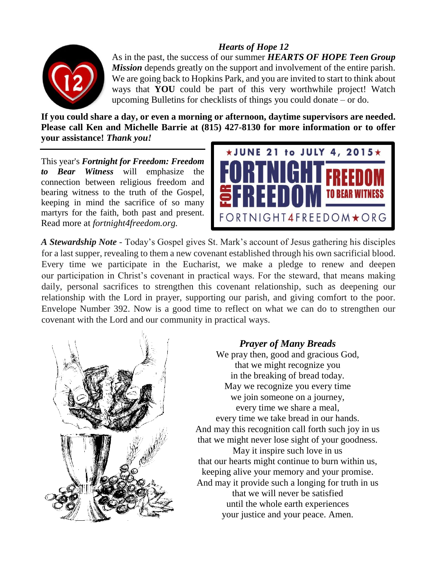#### *Hearts of Hope 12*



As in the past, the success of our summer *HEARTS OF HOPE Teen Group Mission* depends greatly on the support and involvement of the entire parish. We are going back to Hopkins Park, and you are invited to start to think about ways that **YOU** could be part of this very worthwhile project! Watch upcoming Bulletins for checklists of things you could donate – or do.

**If you could share a day, or even a morning or afternoon, daytime supervisors are needed. Please call Ken and Michelle Barrie at (815) 427-8130 for more information or to offer your assistance!** *Thank you!*

This year's *Fortnight for Freedom: Freedom to Bear Witness* will emphasize the connection between religious freedom and bearing witness to the truth of the Gospel, keeping in mind the sacrifice of so many martyrs for the faith, both past and present. Read more at *fortnight4freedom.org.*



*A Stewardship Note* - Today's Gospel gives St. Mark's account of Jesus gathering his disciples for a last supper, revealing to them a new covenant established through his own sacrificial blood. Every time we participate in the Eucharist, we make a pledge to renew and deepen our participation in Christ's covenant in practical ways. For the steward, that means making daily, personal sacrifices to strengthen this covenant relationship, such as deepening our relationship with the Lord in prayer, supporting our parish, and giving comfort to the poor. Envelope Number 392. Now is a good time to reflect on what we can do to strengthen our covenant with the Lord and our community in practical ways.



#### *Prayer of Many Breads*

We pray then, good and gracious God, that we might recognize you in the breaking of bread today. May we recognize you every time we join someone on a journey, every time we share a meal, every time we take bread in our hands. And may this recognition call forth such joy in us that we might never lose sight of your goodness. May it inspire such love in us that our hearts might continue to burn within us, keeping alive your memory and your promise. And may it provide such a longing for truth in us that we will never be satisfied until the whole earth experiences your justice and your peace. Amen.